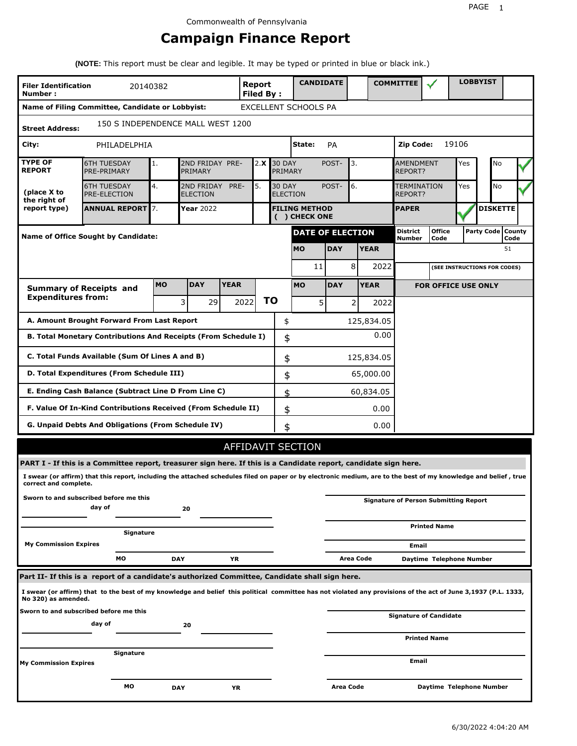# **Campaign Finance Report**

**(NOTE:** This report must be clear and legible. It may be typed or printed in blue or black ink.)

| <b>Filer Identification</b><br>Number:                                                                           |                                                                                                                                                                 | 20140382  |                 |                                                              | <b>Report</b><br><b>Filed By:</b> |                                       | <b>CANDIDATE</b>         |             |                  |             | <b>COMMITTEE</b>                   |                                              |                              | <b>LOBBYIST</b> |                             |
|------------------------------------------------------------------------------------------------------------------|-----------------------------------------------------------------------------------------------------------------------------------------------------------------|-----------|-----------------|--------------------------------------------------------------|-----------------------------------|---------------------------------------|--------------------------|-------------|------------------|-------------|------------------------------------|----------------------------------------------|------------------------------|-----------------|-----------------------------|
|                                                                                                                  | Name of Filing Committee, Candidate or Lobbyist:                                                                                                                |           |                 |                                                              |                                   |                                       | EXCELLENT SCHOOLS PA     |             |                  |             |                                    |                                              |                              |                 |                             |
| 150 S INDEPENDENCE MALL WEST 1200<br><b>Street Address:</b>                                                      |                                                                                                                                                                 |           |                 |                                                              |                                   |                                       |                          |             |                  |             |                                    |                                              |                              |                 |                             |
| City:                                                                                                            | PHILADELPHIA                                                                                                                                                    |           |                 |                                                              |                                   |                                       | State:                   | PA          |                  |             | 19106<br>Zip Code:                 |                                              |                              |                 |                             |
| <b>TYPE OF</b><br><b>REPORT</b>                                                                                  | <b>6TH TUESDAY</b><br>PRE-PRIMARY                                                                                                                               | 1.        | PRIMARY         | 2ND FRIDAY PRE-<br>2.X<br><b>30 DAY</b><br>PRIMARY           |                                   |                                       |                          | POST-       | 3.               |             | <b>AMENDMENT</b><br><b>REPORT?</b> |                                              | Yes                          | No              |                             |
| (place X to<br>the right of                                                                                      | <b>6TH TUESDAY</b><br>PRE-ELECTION                                                                                                                              | 4.        | <b>ELECTION</b> | 5.<br>2ND FRIDAY<br>PRE-<br><b>30 DAY</b><br><b>ELECTION</b> |                                   |                                       |                          | POST-<br>6. |                  |             | <b>TERMINATION</b><br>REPORT?      |                                              | Yes                          | No              |                             |
| report type)                                                                                                     | <b>ANNUAL REPORT 7.</b>                                                                                                                                         |           | Year 2022       |                                                              |                                   | <b>FILING METHOD</b><br>( ) CHECK ONE |                          |             |                  |             | <b>PAPER</b>                       |                                              |                              |                 | <b>DISKETTE</b>             |
|                                                                                                                  | <b>Name of Office Sought by Candidate:</b>                                                                                                                      |           |                 |                                                              |                                   |                                       | <b>DATE OF ELECTION</b>  |             |                  |             | <b>District</b><br>Number          | <b>Office</b><br>Code                        |                              |                 | Party Code   County<br>Code |
|                                                                                                                  |                                                                                                                                                                 |           |                 |                                                              |                                   |                                       | <b>MO</b>                | <b>DAY</b>  |                  | <b>YEAR</b> |                                    |                                              |                              |                 | 51                          |
| 11                                                                                                               |                                                                                                                                                                 |           |                 |                                                              |                                   |                                       |                          | 8           | 2022             |             |                                    |                                              | (SEE INSTRUCTIONS FOR CODES) |                 |                             |
|                                                                                                                  | <b>Summary of Receipts and</b>                                                                                                                                  | <b>MO</b> | <b>DAY</b>      | <b>YEAR</b>                                                  |                                   |                                       | <b>MO</b>                | <b>DAY</b>  |                  | <b>YEAR</b> |                                    | <b>FOR OFFICE USE ONLY</b>                   |                              |                 |                             |
| <b>Expenditures from:</b>                                                                                        |                                                                                                                                                                 |           | 3<br>29         | 2022                                                         |                                   | ΤO                                    | 5                        |             | $\overline{2}$   | 2022        |                                    |                                              |                              |                 |                             |
|                                                                                                                  | A. Amount Brought Forward From Last Report                                                                                                                      |           |                 |                                                              |                                   | \$                                    |                          |             |                  | 125,834.05  |                                    |                                              |                              |                 |                             |
| B. Total Monetary Contributions And Receipts (From Schedule I)<br>\$                                             |                                                                                                                                                                 |           |                 |                                                              |                                   |                                       |                          |             |                  | 0.00        |                                    |                                              |                              |                 |                             |
| C. Total Funds Available (Sum Of Lines A and B)                                                                  |                                                                                                                                                                 |           |                 |                                                              |                                   |                                       | \$                       |             |                  | 125,834.05  |                                    |                                              |                              |                 |                             |
| D. Total Expenditures (From Schedule III)                                                                        |                                                                                                                                                                 |           |                 |                                                              |                                   | \$                                    |                          |             |                  | 65,000.00   |                                    |                                              |                              |                 |                             |
|                                                                                                                  | E. Ending Cash Balance (Subtract Line D From Line C)                                                                                                            |           |                 |                                                              |                                   | \$                                    |                          |             |                  | 60,834.05   |                                    |                                              |                              |                 |                             |
|                                                                                                                  | F. Value Of In-Kind Contributions Received (From Schedule II)                                                                                                   |           |                 |                                                              |                                   | \$                                    |                          |             |                  | 0.00        |                                    |                                              |                              |                 |                             |
|                                                                                                                  | <b>G. Unpaid Debts And Obligations (From Schedule IV)</b>                                                                                                       |           |                 |                                                              |                                   | \$                                    |                          |             |                  | 0.00        |                                    |                                              |                              |                 |                             |
|                                                                                                                  |                                                                                                                                                                 |           |                 |                                                              |                                   |                                       | <b>AFFIDAVIT SECTION</b> |             |                  |             |                                    |                                              |                              |                 |                             |
| PART I - If this is a Committee report, treasurer sign here. If this is a Candidate report, candidate sign here. |                                                                                                                                                                 |           |                 |                                                              |                                   |                                       |                          |             |                  |             |                                    |                                              |                              |                 |                             |
| correct and complete.                                                                                            | I swear (or affirm) that this report, including the attached schedules filed on paper or by electronic medium, are to the best of my knowledge and belief, true |           |                 |                                                              |                                   |                                       |                          |             |                  |             |                                    |                                              |                              |                 |                             |
|                                                                                                                  | Sworn to and subscribed before me this<br>day of                                                                                                                |           | 20              |                                                              |                                   |                                       |                          |             |                  |             |                                    | <b>Signature of Person Submitting Report</b> |                              |                 |                             |
|                                                                                                                  | Signature                                                                                                                                                       |           |                 |                                                              |                                   |                                       |                          |             |                  |             |                                    | <b>Printed Name</b>                          |                              |                 |                             |
| <b>My Commission Expires</b>                                                                                     |                                                                                                                                                                 |           |                 |                                                              |                                   |                                       |                          |             |                  |             | Email                              |                                              |                              |                 |                             |
|                                                                                                                  | MО                                                                                                                                                              |           | DAY             | YR                                                           |                                   |                                       |                          |             | <b>Area Code</b> |             |                                    | Daytime Telephone Number                     |                              |                 |                             |
| Part II- If this is a report of a candidate's authorized Committee, Candidate shall sign here.                   |                                                                                                                                                                 |           |                 |                                                              |                                   |                                       |                          |             |                  |             |                                    |                                              |                              |                 |                             |
| No 320) as amended.                                                                                              | I swear (or affirm) that to the best of my knowledge and belief this political committee has not violated any provisions of the act of June 3,1937 (P.L. 1333,  |           |                 |                                                              |                                   |                                       |                          |             |                  |             |                                    |                                              |                              |                 |                             |
| Sworn to and subscribed before me this                                                                           | day of                                                                                                                                                          |           | 20              |                                                              |                                   |                                       |                          |             |                  |             |                                    | <b>Signature of Candidate</b>                |                              |                 |                             |
|                                                                                                                  |                                                                                                                                                                 |           |                 |                                                              |                                   |                                       |                          |             |                  |             |                                    | <b>Printed Name</b>                          |                              |                 |                             |
| <b>My Commission Expires</b>                                                                                     | Signature                                                                                                                                                       |           |                 |                                                              |                                   |                                       |                          |             |                  |             | Email                              |                                              |                              |                 |                             |
|                                                                                                                  |                                                                                                                                                                 |           |                 |                                                              |                                   |                                       |                          |             |                  |             |                                    |                                              |                              |                 |                             |
|                                                                                                                  | MO                                                                                                                                                              |           | <b>DAY</b>      | ΥR                                                           |                                   |                                       |                          | Area Code   |                  |             |                                    | Daytime Telephone Number                     |                              |                 |                             |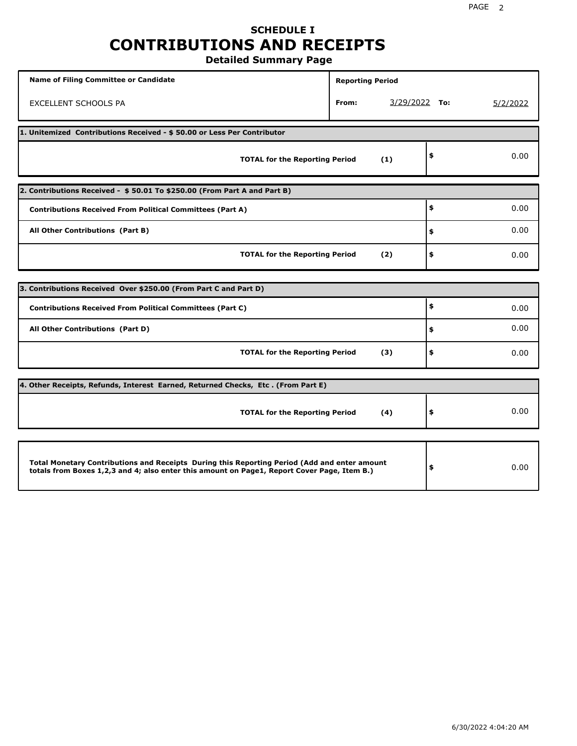# **SCHEDULE I CONTRIBUTIONS AND RECEIPTS**

**Detailed Summary Page**

| <b>Name of Filing Committee or Candidate</b>                                                                                                                                                | <b>Reporting Period</b> |                 |      |          |  |  |  |  |  |
|---------------------------------------------------------------------------------------------------------------------------------------------------------------------------------------------|-------------------------|-----------------|------|----------|--|--|--|--|--|
| EXCELLENT SCHOOLS PA                                                                                                                                                                        | From:                   | $3/29/2022$ To: |      | 5/2/2022 |  |  |  |  |  |
| 1. Unitemized Contributions Received - \$ 50.00 or Less Per Contributor                                                                                                                     |                         |                 |      |          |  |  |  |  |  |
| <b>TOTAL for the Reporting Period</b>                                                                                                                                                       |                         | (1)             | \$   | 0.00     |  |  |  |  |  |
| 2. Contributions Received - \$50.01 To \$250.00 (From Part A and Part B)                                                                                                                    |                         |                 |      |          |  |  |  |  |  |
| <b>Contributions Received From Political Committees (Part A)</b>                                                                                                                            |                         |                 | \$   | 0.00     |  |  |  |  |  |
| All Other Contributions (Part B)                                                                                                                                                            | \$                      | 0.00            |      |          |  |  |  |  |  |
| <b>TOTAL for the Reporting Period</b>                                                                                                                                                       | (2)                     | \$              | 0.00 |          |  |  |  |  |  |
| 3. Contributions Received Over \$250.00 (From Part C and Part D)                                                                                                                            |                         |                 |      |          |  |  |  |  |  |
|                                                                                                                                                                                             |                         |                 | \$   |          |  |  |  |  |  |
| <b>Contributions Received From Political Committees (Part C)</b>                                                                                                                            |                         |                 |      | 0.00     |  |  |  |  |  |
| All Other Contributions (Part D)                                                                                                                                                            |                         |                 | \$   | 0.00     |  |  |  |  |  |
| <b>TOTAL for the Reporting Period</b>                                                                                                                                                       |                         | (3)             | \$   | 0.00     |  |  |  |  |  |
| 4. Other Receipts, Refunds, Interest Earned, Returned Checks, Etc. (From Part E)                                                                                                            |                         |                 |      |          |  |  |  |  |  |
| <b>TOTAL for the Reporting Period</b>                                                                                                                                                       |                         | (4)             | \$   | 0.00     |  |  |  |  |  |
|                                                                                                                                                                                             |                         |                 |      |          |  |  |  |  |  |
| Total Monetary Contributions and Receipts During this Reporting Period (Add and enter amount<br>totals from Boxes 1,2,3 and 4; also enter this amount on Page1, Report Cover Page, Item B.) |                         |                 | \$   | 0.00     |  |  |  |  |  |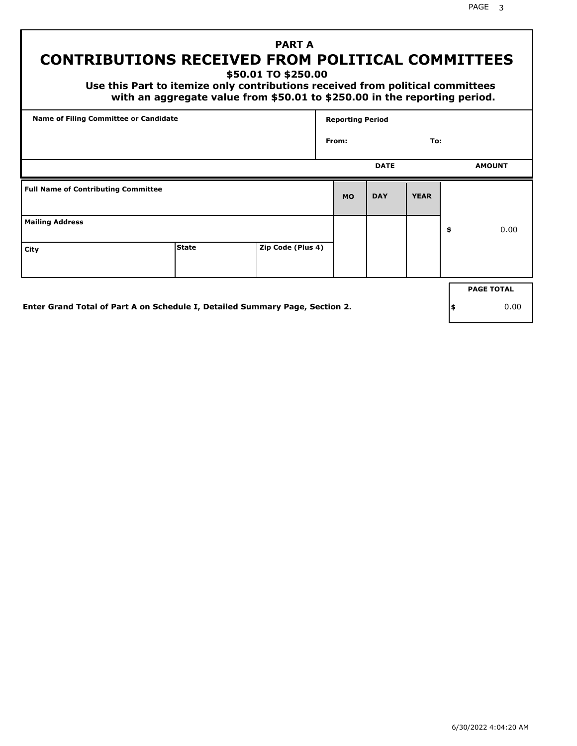## **PART A CONTRIBUTIONS RECEIVED FROM POLITICAL COMMITTEES**

**\$50.01 TO \$250.00**

 **Use this Part to itemize only contributions received from political committees with an aggregate value from \$50.01 to \$250.00 in the reporting period.**

| <b>Name of Filing Committee or Candidate</b> |                                                                              |                   | <b>Reporting Period</b> |             |             |    |                   |
|----------------------------------------------|------------------------------------------------------------------------------|-------------------|-------------------------|-------------|-------------|----|-------------------|
|                                              |                                                                              |                   | From:                   |             | To:         |    |                   |
|                                              |                                                                              |                   |                         | <b>DATE</b> |             |    | <b>AMOUNT</b>     |
| <b>Full Name of Contributing Committee</b>   |                                                                              |                   | <b>MO</b>               | <b>DAY</b>  | <b>YEAR</b> |    |                   |
| <b>Mailing Address</b>                       |                                                                              |                   |                         |             |             | \$ | 0.00              |
| City                                         | <b>State</b>                                                                 | Zip Code (Plus 4) |                         |             |             |    |                   |
|                                              |                                                                              |                   |                         |             |             |    | <b>PAGE TOTAL</b> |
|                                              | Enter Grand Total of Part A on Schedule I, Detailed Summary Page, Section 2. |                   |                         |             |             | \$ | 0.00              |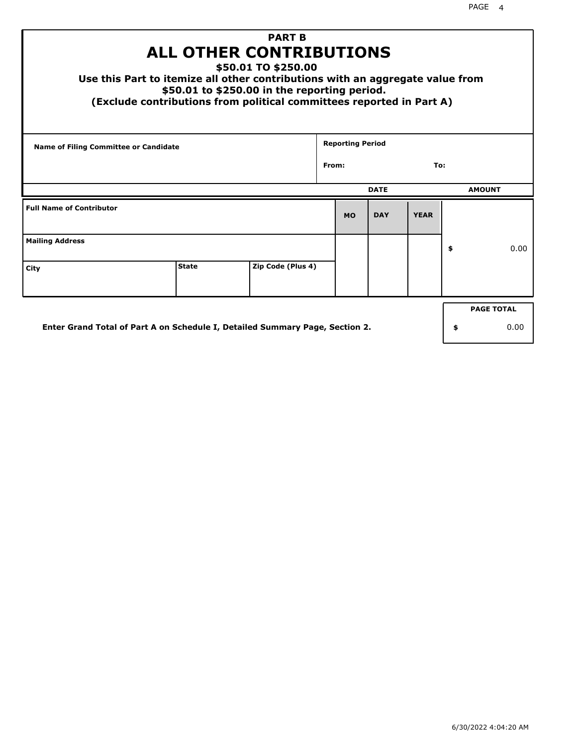| <b>PART B</b><br><b>ALL OTHER CONTRIBUTIONS</b><br>\$50.01 TO \$250.00<br>Use this Part to itemize all other contributions with an aggregate value from<br>\$50.01 to \$250.00 in the reporting period.<br>(Exclude contributions from political committees reported in Part A) |              |                   |       |                         |             |             |    |                   |  |
|---------------------------------------------------------------------------------------------------------------------------------------------------------------------------------------------------------------------------------------------------------------------------------|--------------|-------------------|-------|-------------------------|-------------|-------------|----|-------------------|--|
| <b>Name of Filing Committee or Candidate</b>                                                                                                                                                                                                                                    |              |                   | From: | <b>Reporting Period</b> |             | To:         |    |                   |  |
|                                                                                                                                                                                                                                                                                 |              |                   |       |                         |             |             |    |                   |  |
|                                                                                                                                                                                                                                                                                 |              |                   |       |                         | <b>DATE</b> |             |    | <b>AMOUNT</b>     |  |
| <b>Full Name of Contributor</b>                                                                                                                                                                                                                                                 |              |                   |       | <b>MO</b>               | <b>DAY</b>  | <b>YEAR</b> |    |                   |  |
| <b>Mailing Address</b>                                                                                                                                                                                                                                                          |              |                   |       |                         |             |             | \$ | 0.00              |  |
| City                                                                                                                                                                                                                                                                            | <b>State</b> | Zip Code (Plus 4) |       |                         |             |             |    |                   |  |
|                                                                                                                                                                                                                                                                                 |              |                   |       |                         |             |             |    | <b>PAGE TOTAL</b> |  |
| Enter Grand Total of Part A on Schedule I, Detailed Summary Page, Section 2.                                                                                                                                                                                                    |              |                   |       |                         |             |             | \$ | 0.00              |  |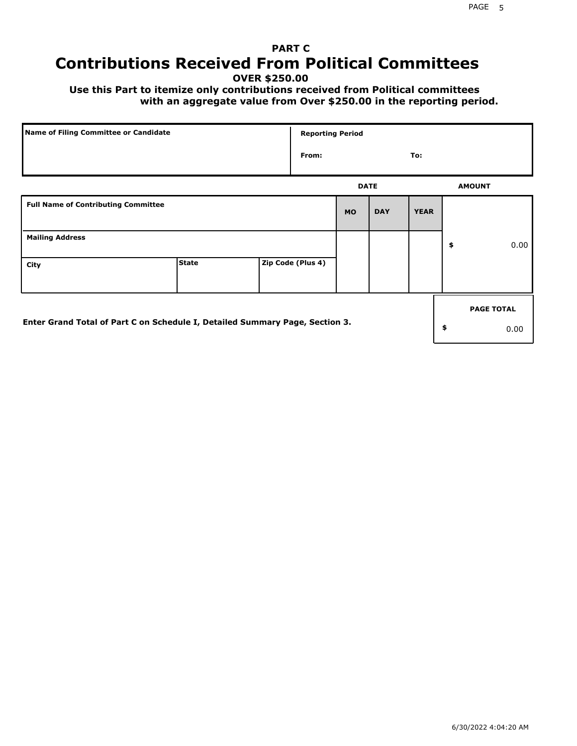## **PART C Contributions Received From Political Committees**

**OVER \$250.00**

 **Use this Part to itemize only contributions received from Political committees with an aggregate value from Over \$250.00 in the reporting period.**

| Name of Filing Committee or Candidate                                        |              |  | <b>Reporting Period</b> |             |            |             |    |                   |  |
|------------------------------------------------------------------------------|--------------|--|-------------------------|-------------|------------|-------------|----|-------------------|--|
|                                                                              |              |  | From:                   |             |            | To:         |    |                   |  |
|                                                                              |              |  |                         | <b>DATE</b> |            |             |    | <b>AMOUNT</b>     |  |
| <b>Full Name of Contributing Committee</b>                                   |              |  |                         | <b>MO</b>   | <b>DAY</b> | <b>YEAR</b> |    |                   |  |
| <b>Mailing Address</b>                                                       |              |  |                         |             |            |             | \$ | 0.00              |  |
| City                                                                         | <b>State</b> |  | Zip Code (Plus 4)       |             |            |             |    |                   |  |
|                                                                              |              |  |                         |             |            |             |    | <b>PAGE TOTAL</b> |  |
| Enter Grand Total of Part C on Schedule I, Detailed Summary Page, Section 3. |              |  |                         |             |            |             | \$ | 0.00              |  |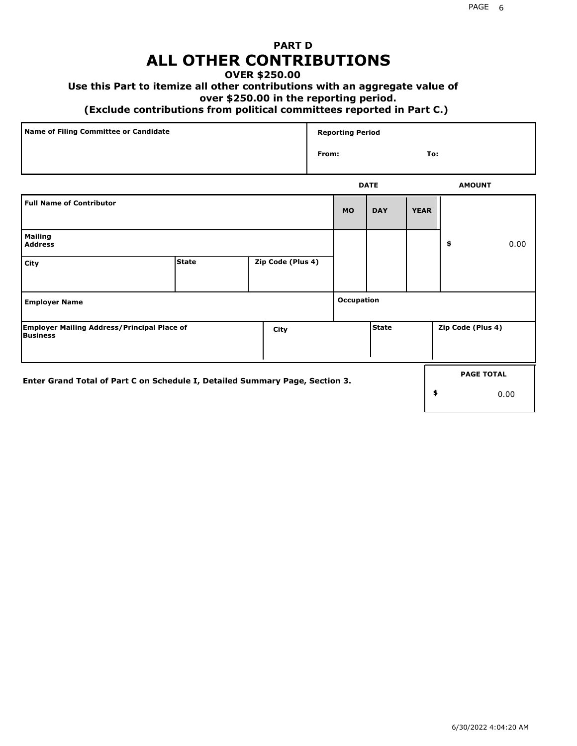## **PART D ALL OTHER CONTRIBUTIONS**

### **OVER \$250.00**

#### **Use this Part to itemize all other contributions with an aggregate value of**

#### **over \$250.00 in the reporting period.**

#### **(Exclude contributions from political committees reported in Part C.)**

| Name of Filing Committee or Candidate | <b>Reporting Period</b> |     |
|---------------------------------------|-------------------------|-----|
|                                       | From:                   | To: |
|                                       |                         |     |

|                                                                              |              |                   |                   | <b>DATE</b>  |             | <b>AMOUNT</b>     |
|------------------------------------------------------------------------------|--------------|-------------------|-------------------|--------------|-------------|-------------------|
| <b>Full Name of Contributor</b>                                              |              |                   | <b>MO</b>         | <b>DAY</b>   | <b>YEAR</b> |                   |
| <b>Mailing</b><br><b>Address</b>                                             |              |                   |                   |              |             | \$<br>0.00        |
| City                                                                         | <b>State</b> | Zip Code (Plus 4) |                   |              |             |                   |
| <b>Employer Name</b>                                                         |              |                   | <b>Occupation</b> |              |             |                   |
| <b>Employer Mailing Address/Principal Place of</b><br>Business               |              | City              |                   | <b>State</b> |             | Zip Code (Plus 4) |
| Enter Grand Total of Part C on Schedule I, Detailed Summary Page, Section 3. |              |                   |                   |              |             | <b>PAGE TOTAL</b> |
|                                                                              |              |                   |                   |              |             | \$<br>0.00        |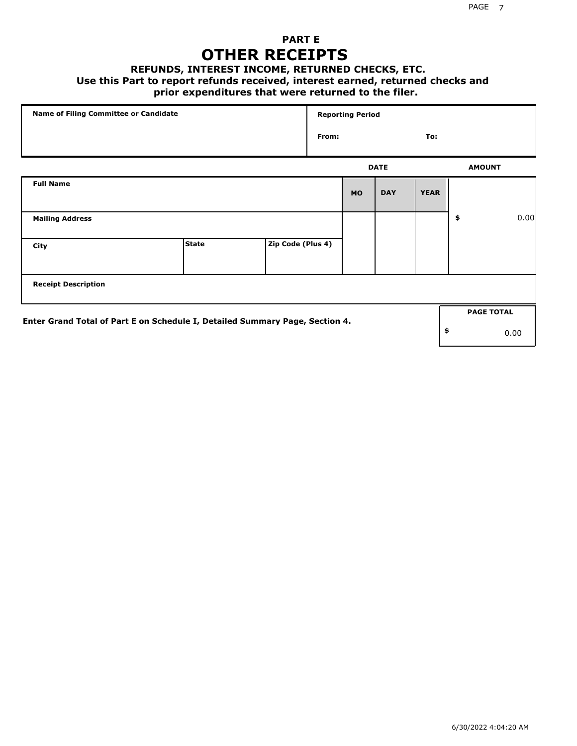### **PART E OTHER RECEIPTS**

#### **REFUNDS, INTEREST INCOME, RETURNED CHECKS, ETC.**

 **Use this Part to report refunds received, interest earned, returned checks and**

### **prior expenditures that were returned to the filer.**

| Name of Filing Committee or Candidate                                        |              |                   | <b>Reporting Period</b> |           |             |             |    |                   |      |
|------------------------------------------------------------------------------|--------------|-------------------|-------------------------|-----------|-------------|-------------|----|-------------------|------|
|                                                                              |              |                   | From:                   |           |             | To:         |    |                   |      |
|                                                                              |              |                   |                         |           | <b>DATE</b> |             |    | <b>AMOUNT</b>     |      |
| <b>Full Name</b>                                                             |              |                   |                         | <b>MO</b> | <b>DAY</b>  | <b>YEAR</b> |    |                   |      |
| <b>Mailing Address</b>                                                       |              |                   |                         |           |             |             | \$ |                   | 0.00 |
| City                                                                         | <b>State</b> | Zip Code (Plus 4) |                         |           |             |             |    |                   |      |
| <b>Receipt Description</b>                                                   |              |                   |                         |           |             |             |    |                   |      |
|                                                                              |              |                   |                         |           |             |             |    | <b>PAGE TOTAL</b> |      |
| Enter Grand Total of Part E on Schedule I, Detailed Summary Page, Section 4. |              |                   |                         |           |             |             | \$ |                   | 0.00 |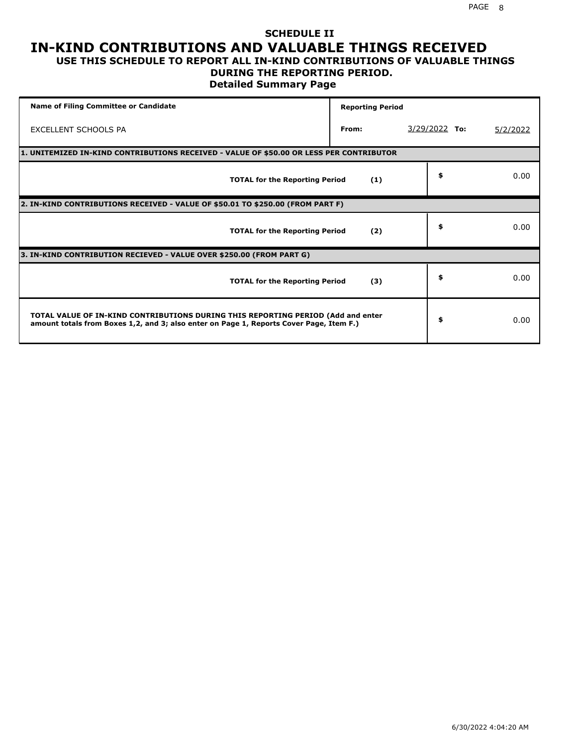#### **SCHEDULE II IN-KIND CONTRIBUTIONS AND VALUABLE THINGS RECEIVED USE THIS SCHEDULE TO REPORT ALL IN-KIND CONTRIBUTIONS OF VALUABLE THINGS**

### **DURING THE REPORTING PERIOD.**

**Detailed Summary Page**

| <b>Name of Filing Committee or Candidate</b>                                                                                                                                | <b>Reporting Period</b> |                 |          |  |  |  |  |  |  |  |
|-----------------------------------------------------------------------------------------------------------------------------------------------------------------------------|-------------------------|-----------------|----------|--|--|--|--|--|--|--|
| <b>EXCELLENT SCHOOLS PA</b>                                                                                                                                                 | From:                   | $3/29/2022$ To: | 5/2/2022 |  |  |  |  |  |  |  |
| 1. UNITEMIZED IN-KIND CONTRIBUTIONS RECEIVED - VALUE OF \$50.00 OR LESS PER CONTRIBUTOR                                                                                     |                         |                 |          |  |  |  |  |  |  |  |
| <b>TOTAL for the Reporting Period</b>                                                                                                                                       | (1)                     | \$              | 0.00     |  |  |  |  |  |  |  |
| 2. IN-KIND CONTRIBUTIONS RECEIVED - VALUE OF \$50.01 TO \$250.00 (FROM PART F)                                                                                              |                         |                 |          |  |  |  |  |  |  |  |
| <b>TOTAL for the Reporting Period</b>                                                                                                                                       | (2)                     | \$              | 0.00     |  |  |  |  |  |  |  |
| 3. IN-KIND CONTRIBUTION RECIEVED - VALUE OVER \$250.00 (FROM PART G)                                                                                                        |                         |                 |          |  |  |  |  |  |  |  |
| <b>TOTAL for the Reporting Period</b>                                                                                                                                       | (3)                     | \$              | 0.00     |  |  |  |  |  |  |  |
| TOTAL VALUE OF IN-KIND CONTRIBUTIONS DURING THIS REPORTING PERIOD (Add and enter<br>amount totals from Boxes 1,2, and 3; also enter on Page 1, Reports Cover Page, Item F.) |                         | \$              | 0.00     |  |  |  |  |  |  |  |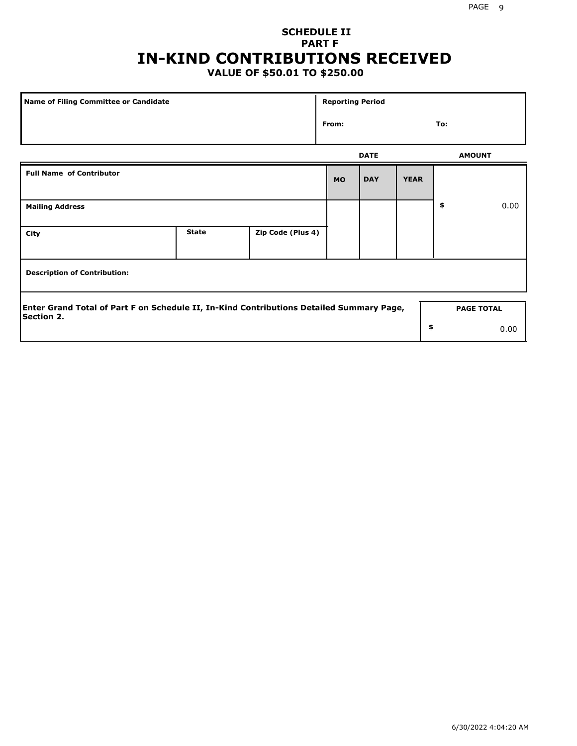## **SCHEDULE II PART F IN-KIND CONTRIBUTIONS RECEIVED**

### **VALUE OF \$50.01 TO \$250.00**

| Name of Filing Committee or Candidate                                                                         |              |                   |           | <b>Reporting Period</b> |             |                   |      |  |
|---------------------------------------------------------------------------------------------------------------|--------------|-------------------|-----------|-------------------------|-------------|-------------------|------|--|
|                                                                                                               | From:        |                   |           | To:                     |             |                   |      |  |
|                                                                                                               |              |                   |           | <b>DATE</b>             |             | <b>AMOUNT</b>     |      |  |
| <b>Full Name of Contributor</b>                                                                               |              |                   | <b>MO</b> | <b>DAY</b>              | <b>YEAR</b> |                   |      |  |
| <b>Mailing Address</b>                                                                                        |              |                   |           |                         |             | \$                | 0.00 |  |
| City                                                                                                          | <b>State</b> | Zip Code (Plus 4) |           |                         |             |                   |      |  |
| <b>Description of Contribution:</b>                                                                           |              |                   |           |                         |             |                   |      |  |
| Enter Grand Total of Part F on Schedule II, In-Kind Contributions Detailed Summary Page,<br><b>Section 2.</b> |              |                   |           |                         |             | <b>PAGE TOTAL</b> |      |  |
|                                                                                                               |              |                   |           |                         | \$          |                   | 0.00 |  |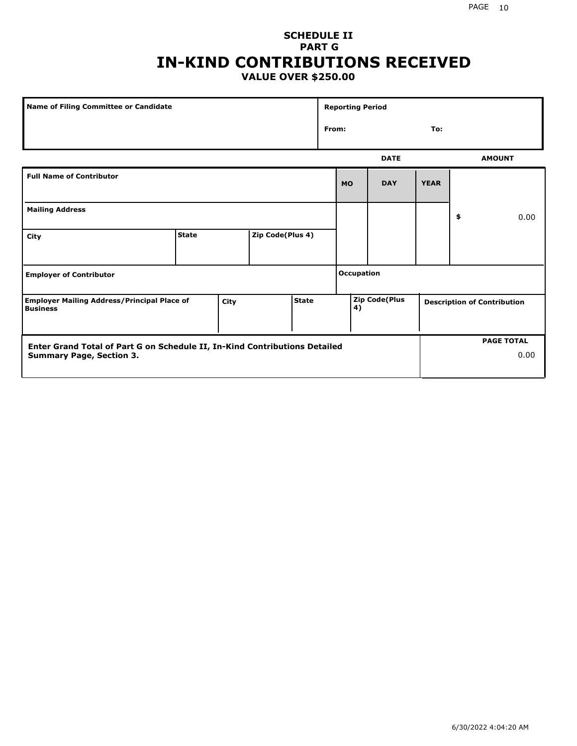### **SCHEDULE II PART G IN-KIND CONTRIBUTIONS RECEIVED VALUE OVER \$250.00**

| Name of Filing Committee or Candidate                                 |              |      |                  | <b>Reporting Period</b> |  |                   |                      |             |    |                                    |
|-----------------------------------------------------------------------|--------------|------|------------------|-------------------------|--|-------------------|----------------------|-------------|----|------------------------------------|
|                                                                       |              |      |                  |                         |  | From:<br>To:      |                      |             |    |                                    |
|                                                                       |              |      |                  |                         |  |                   | <b>DATE</b>          |             |    | <b>AMOUNT</b>                      |
| <b>Full Name of Contributor</b>                                       |              |      |                  |                         |  | <b>MO</b>         | <b>DAY</b>           | <b>YEAR</b> |    |                                    |
| <b>Mailing Address</b>                                                |              |      |                  |                         |  |                   |                      |             | \$ | 0.00                               |
| City                                                                  | <b>State</b> |      | Zip Code(Plus 4) |                         |  |                   |                      |             |    |                                    |
| <b>Employer of Contributor</b>                                        |              |      |                  |                         |  | <b>Occupation</b> |                      |             |    |                                    |
| <b>Employer Mailing Address/Principal Place of</b><br><b>Business</b> |              | City |                  | <b>State</b>            |  | 4)                | <b>Zip Code(Plus</b> |             |    | <b>Description of Contribution</b> |

| <b>Enter Grand Total of Part G on Schedule II, In-Kind Contributions Detailed</b> |  | <b>PAGE TOTAL</b> |
|-----------------------------------------------------------------------------------|--|-------------------|
| <b>Summary Page, Section 3.</b>                                                   |  | 0.00              |
|                                                                                   |  |                   |